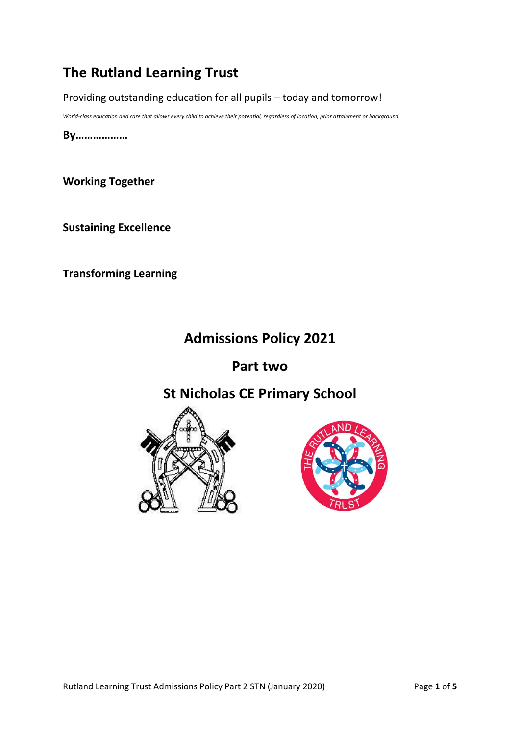# **The Rutland Learning Trust**

Providing outstanding education for all pupils – today and tomorrow!

*World-class education and care that allows every child to achieve their potential, regardless of location, prior attainment or background.*

**By………………**

**Working Together**

**Sustaining Excellence**

**Transforming Learning**

# **Admissions Policy 2021**

## **Part two**

# **St Nicholas CE Primary School**



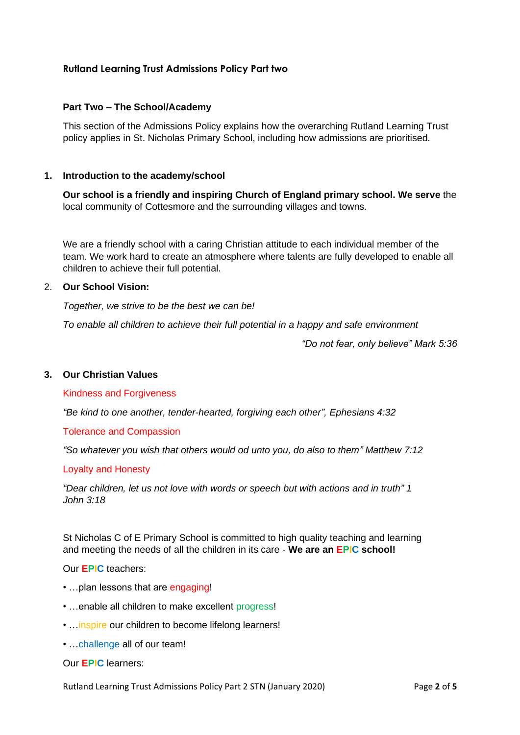## **Rutland Learning Trust Admissions Policy Part two**

#### **Part Two – The School/Academy**

This section of the Admissions Policy explains how the overarching Rutland Learning Trust policy applies in St. Nicholas Primary School, including how admissions are prioritised.

#### **1. Introduction to the academy/school**

**Our school is a friendly and inspiring Church of England primary school. We serve** the local community of Cottesmore and the surrounding villages and towns.

We are a friendly school with a caring Christian attitude to each individual member of the team. We work hard to create an atmosphere where talents are fully developed to enable all children to achieve their full potential.

#### 2. **Our School Vision:**

*Together, we strive to be the best we can be!*

*To enable all children to achieve their full potential in a happy and safe environment*

*"Do not fear, only believe" Mark 5:36*

#### **3. Our Christian Values**

#### Kindness and Forgiveness

*"Be kind to one another, tender-hearted, forgiving each other", Ephesians 4:32*

Tolerance and Compassion

*"So whatever you wish that others would od unto you, do also to them" Matthew 7:12*

#### Loyalty and Honesty

*"Dear children, let us not love with words or speech but with actions and in truth" 1 John 3:18*

St Nicholas C of E Primary School is committed to high quality teaching and learning and meeting the needs of all the children in its care - **We are an EPIC school!**

Our **EPIC** teachers:

- ... plan lessons that are engaging!
- …enable all children to make excellent progress!
- ... inspire our children to become lifelong learners!
- …challenge all of our team!

#### Our **EPIC** learners:

Rutland Learning Trust Admissions Policy Part 2 STN (January 2020) Page **2** of **5**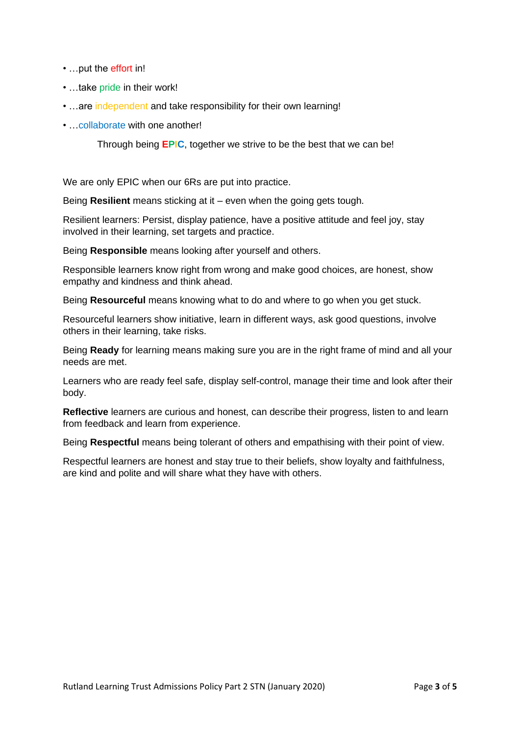- …put the effort in!
- …take pride in their work!
- ... are independent and take responsibility for their own learning!
- …collaborate with one another!

Through being **EPIC**, together we strive to be the best that we can be!

We are only EPIC when our 6Rs are put into practice.

Being **Resilient** means sticking at it – even when the going gets tough.

Resilient learners: Persist, display patience, have a positive attitude and feel joy, stay involved in their learning, set targets and practice.

Being **Responsible** means looking after yourself and others.

Responsible learners know right from wrong and make good choices, are honest, show empathy and kindness and think ahead.

Being **Resourceful** means knowing what to do and where to go when you get stuck.

Resourceful learners show initiative, learn in different ways, ask good questions, involve others in their learning, take risks.

Being **Ready** for learning means making sure you are in the right frame of mind and all your needs are met.

Learners who are ready feel safe, display self-control, manage their time and look after their body.

**Reflective** learners are curious and honest, can describe their progress, listen to and learn from feedback and learn from experience.

Being **Respectful** means being tolerant of others and empathising with their point of view.

Respectful learners are honest and stay true to their beliefs, show loyalty and faithfulness, are kind and polite and will share what they have with others.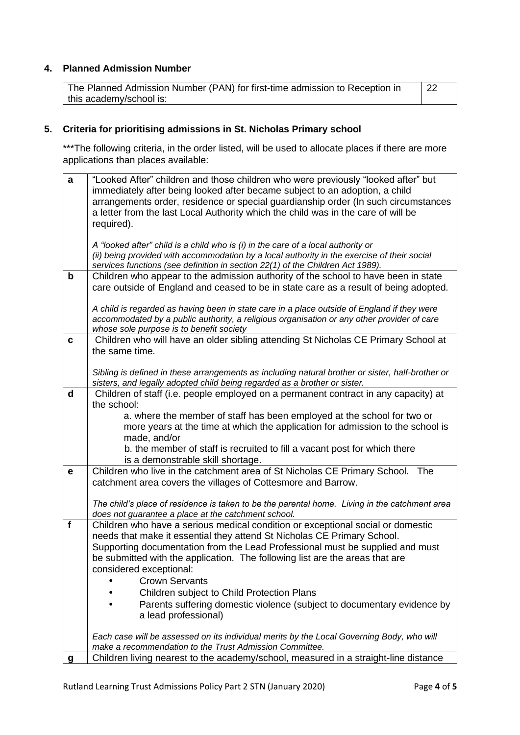## **4. Planned Admission Number**

| The Planned Admission Number (PAN) for first-time admission to Reception in |  |
|-----------------------------------------------------------------------------|--|
| this academy/school is:                                                     |  |

## **5. Criteria for prioritising admissions in St. Nicholas Primary school**

\*\*\*The following criteria, in the order listed, will be used to allocate places if there are more applications than places available:

| a            | "Looked After" children and those children who were previously "looked after" but<br>immediately after being looked after became subject to an adoption, a child<br>arrangements order, residence or special guardianship order (In such circumstances<br>a letter from the last Local Authority which the child was in the care of will be |
|--------------|---------------------------------------------------------------------------------------------------------------------------------------------------------------------------------------------------------------------------------------------------------------------------------------------------------------------------------------------|
|              | required).                                                                                                                                                                                                                                                                                                                                  |
|              | A "looked after" child is a child who is (i) in the care of a local authority or<br>(ii) being provided with accommodation by a local authority in the exercise of their social<br>services functions (see definition in section 22(1) of the Children Act 1989).                                                                           |
| $\mathbf b$  | Children who appear to the admission authority of the school to have been in state<br>care outside of England and ceased to be in state care as a result of being adopted.                                                                                                                                                                  |
|              | A child is regarded as having been in state care in a place outside of England if they were<br>accommodated by a public authority, a religious organisation or any other provider of care<br>whose sole purpose is to benefit society                                                                                                       |
| $\mathbf{c}$ | Children who will have an older sibling attending St Nicholas CE Primary School at<br>the same time.                                                                                                                                                                                                                                        |
|              | Sibling is defined in these arrangements as including natural brother or sister, half-brother or<br>sisters, and legally adopted child being regarded as a brother or sister.                                                                                                                                                               |
| $\mathsf{d}$ | Children of staff (i.e. people employed on a permanent contract in any capacity) at<br>the school:                                                                                                                                                                                                                                          |
|              | a. where the member of staff has been employed at the school for two or<br>more years at the time at which the application for admission to the school is<br>made, and/or                                                                                                                                                                   |
|              | b. the member of staff is recruited to fill a vacant post for which there<br>is a demonstrable skill shortage.                                                                                                                                                                                                                              |
| $\mathbf e$  | Children who live in the catchment area of St Nicholas CE Primary School. The<br>catchment area covers the villages of Cottesmore and Barrow.                                                                                                                                                                                               |
|              | The child's place of residence is taken to be the parental home. Living in the catchment area<br>does not guarantee a place at the catchment school.                                                                                                                                                                                        |
| $\mathbf f$  | Children who have a serious medical condition or exceptional social or domestic<br>needs that make it essential they attend St Nicholas CE Primary School.                                                                                                                                                                                  |
|              | Supporting documentation from the Lead Professional must be supplied and must                                                                                                                                                                                                                                                               |
|              | be submitted with the application. The following list are the areas that are<br>considered exceptional:                                                                                                                                                                                                                                     |
|              | <b>Crown Servants</b>                                                                                                                                                                                                                                                                                                                       |
|              | Children subject to Child Protection Plans<br>Parents suffering domestic violence (subject to documentary evidence by                                                                                                                                                                                                                       |
|              | a lead professional)                                                                                                                                                                                                                                                                                                                        |
|              | Each case will be assessed on its individual merits by the Local Governing Body, who will                                                                                                                                                                                                                                                   |
| g            | make a recommendation to the Trust Admission Committee.<br>Children living nearest to the academy/school, measured in a straight-line distance                                                                                                                                                                                              |
|              |                                                                                                                                                                                                                                                                                                                                             |